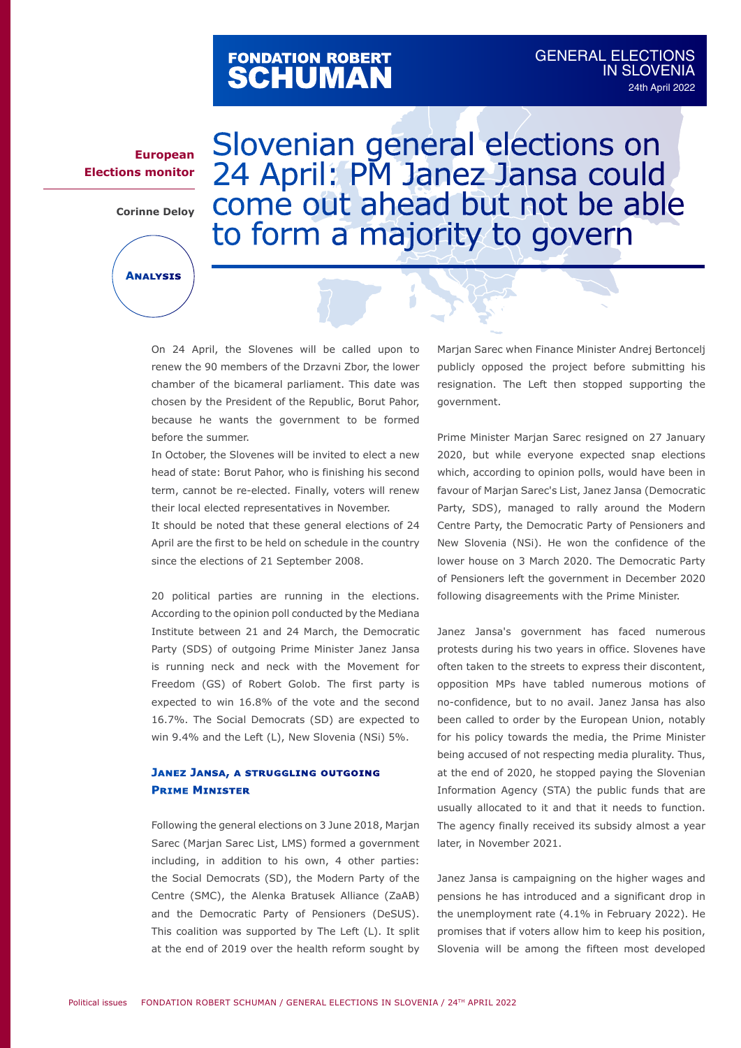# FONDATION ROBERT<br>**SCHUMAN**

**European Elections monitor**

**Corinne Deloy**

**Analysis**

Slovenian general elections on 24 April: PM Janez Jansa could come out ahead but not be able to form a majority to govern

ń

On 24 April, the Slovenes will be called upon to renew the 90 members of the Drzavni Zbor, the lower chamber of the bicameral parliament. This date was chosen by the President of the Republic, Borut Pahor, because he wants the government to be formed before the summer.

In October, the Slovenes will be invited to elect a new head of state: Borut Pahor, who is finishing his second term, cannot be re-elected. Finally, voters will renew their local elected representatives in November.

It should be noted that these general elections of 24 April are the first to be held on schedule in the country since the elections of 21 September 2008.

20 political parties are running in the elections. According to the opinion poll conducted by the Mediana Institute between 21 and 24 March, the Democratic Party (SDS) of outgoing Prime Minister Janez Jansa is running neck and neck with the Movement for Freedom (GS) of Robert Golob. The first party is expected to win 16.8% of the vote and the second 16.7%. The Social Democrats (SD) are expected to win 9.4% and the Left (L), New Slovenia (NSi) 5%.

## **Janez Jansa, a struggling outgoing Prime Minister**

Following the general elections on 3 June 2018, Marjan Sarec (Marjan Sarec List, LMS) formed a government including, in addition to his own, 4 other parties: the Social Democrats (SD), the Modern Party of the Centre (SMC), the Alenka Bratusek Alliance (ZaAB) and the Democratic Party of Pensioners (DeSUS). This coalition was supported by The Left (L). It split at the end of 2019 over the health reform sought by

Marjan Sarec when Finance Minister Andrej Bertoncelj publicly opposed the project before submitting his resignation. The Left then stopped supporting the government.

Prime Minister Marjan Sarec resigned on 27 January 2020, but while everyone expected snap elections which, according to opinion polls, would have been in favour of Marjan Sarec's List, Janez Jansa (Democratic Party, SDS), managed to rally around the Modern Centre Party, the Democratic Party of Pensioners and New Slovenia (NSi). He won the confidence of the lower house on 3 March 2020. The Democratic Party of Pensioners left the government in December 2020 following disagreements with the Prime Minister.

Janez Jansa's government has faced numerous protests during his two years in office. Slovenes have often taken to the streets to express their discontent, opposition MPs have tabled numerous motions of no-confidence, but to no avail. Janez Jansa has also been called to order by the European Union, notably for his policy towards the media, the Prime Minister being accused of not respecting media plurality. Thus, at the end of 2020, he stopped paying the Slovenian Information Agency (STA) the public funds that are usually allocated to it and that it needs to function. The agency finally received its subsidy almost a year later, in November 2021.

Janez Jansa is campaigning on the higher wages and pensions he has introduced and a significant drop in the unemployment rate (4.1% in February 2022). He promises that if voters allow him to keep his position, Slovenia will be among the fifteen most developed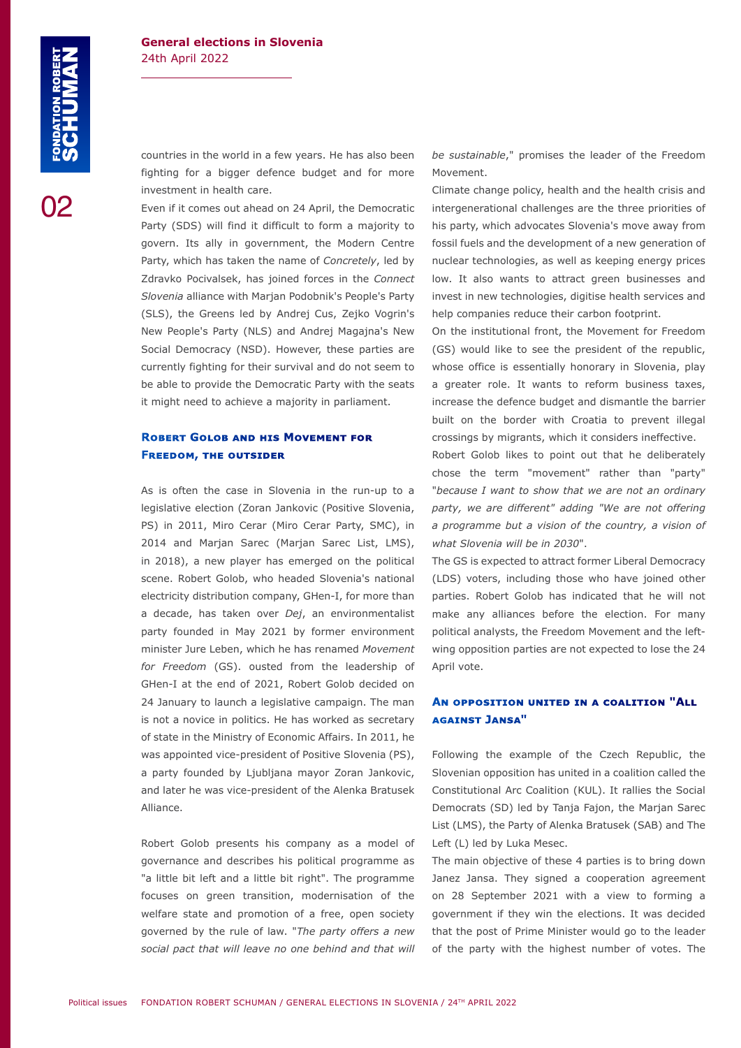02

countries in the world in a few years. He has also been fighting for a bigger defence budget and for more investment in health care.

Even if it comes out ahead on 24 April, the Democratic Party (SDS) will find it difficult to form a majority to govern. Its ally in government, the Modern Centre Party, which has taken the name of *Concretely*, led by Zdravko Pocivalsek, has joined forces in the *Connect Slovenia* alliance with Marjan Podobnik's People's Party (SLS), the Greens led by Andrej Cus, Zejko Vogrin's New People's Party (NLS) and Andrej Magajna's New Social Democracy (NSD). However, these parties are currently fighting for their survival and do not seem to be able to provide the Democratic Party with the seats it might need to achieve a majority in parliament.

### **Robert Golob and his Movement for Freedom, the outsider**

As is often the case in Slovenia in the run-up to a legislative election (Zoran Jankovic (Positive Slovenia, PS) in 2011, Miro Cerar (Miro Cerar Party, SMC), in 2014 and Marjan Sarec (Marjan Sarec List, LMS), in 2018), a new player has emerged on the political scene. Robert Golob, who headed Slovenia's national electricity distribution company, GHen-I, for more than a decade, has taken over *Dej*, an environmentalist party founded in May 2021 by former environment minister Jure Leben, which he has renamed *Movement for Freedom* (GS). ousted from the leadership of GHen-I at the end of 2021, Robert Golob decided on 24 January to launch a legislative campaign. The man is not a novice in politics. He has worked as secretary of state in the Ministry of Economic Affairs. In 2011, he was appointed vice-president of Positive Slovenia (PS), a party founded by Ljubljana mayor Zoran Jankovic, and later he was vice-president of the Alenka Bratusek Alliance.

Robert Golob presents his company as a model of governance and describes his political programme as "a little bit left and a little bit right". The programme focuses on green transition, modernisation of the welfare state and promotion of a free, open society governed by the rule of law. "*The party offers a new social pact that will leave no one behind and that will*  *be sustainable*," promises the leader of the Freedom Movement.

Climate change policy, health and the health crisis and intergenerational challenges are the three priorities of his party, which advocates Slovenia's move away from fossil fuels and the development of a new generation of nuclear technologies, as well as keeping energy prices low. It also wants to attract green businesses and invest in new technologies, digitise health services and help companies reduce their carbon footprint.

On the institutional front, the Movement for Freedom (GS) would like to see the president of the republic, whose office is essentially honorary in Slovenia, play a greater role. It wants to reform business taxes, increase the defence budget and dismantle the barrier built on the border with Croatia to prevent illegal crossings by migrants, which it considers ineffective.

Robert Golob likes to point out that he deliberately chose the term "movement" rather than "party" "*because I want to show that we are not an ordinary party, we are different" adding "We are not offering a programme but a vision of the country, a vision of what Slovenia will be in 2030*".

The GS is expected to attract former Liberal Democracy (LDS) voters, including those who have joined other parties. Robert Golob has indicated that he will not make any alliances before the election. For many political analysts, the Freedom Movement and the leftwing opposition parties are not expected to lose the 24 April vote.

# **An opposition united in a coalition "All against Jansa"**

Following the example of the Czech Republic, the Slovenian opposition has united in a coalition called the Constitutional Arc Coalition (KUL). It rallies the Social Democrats (SD) led by Tanja Fajon, the Marjan Sarec List (LMS), the Party of Alenka Bratusek (SAB) and The Left (L) led by Luka Mesec.

The main objective of these 4 parties is to bring down Janez Jansa. They signed a cooperation agreement on 28 September 2021 with a view to forming a government if they win the elections. It was decided that the post of Prime Minister would go to the leader of the party with the highest number of votes. The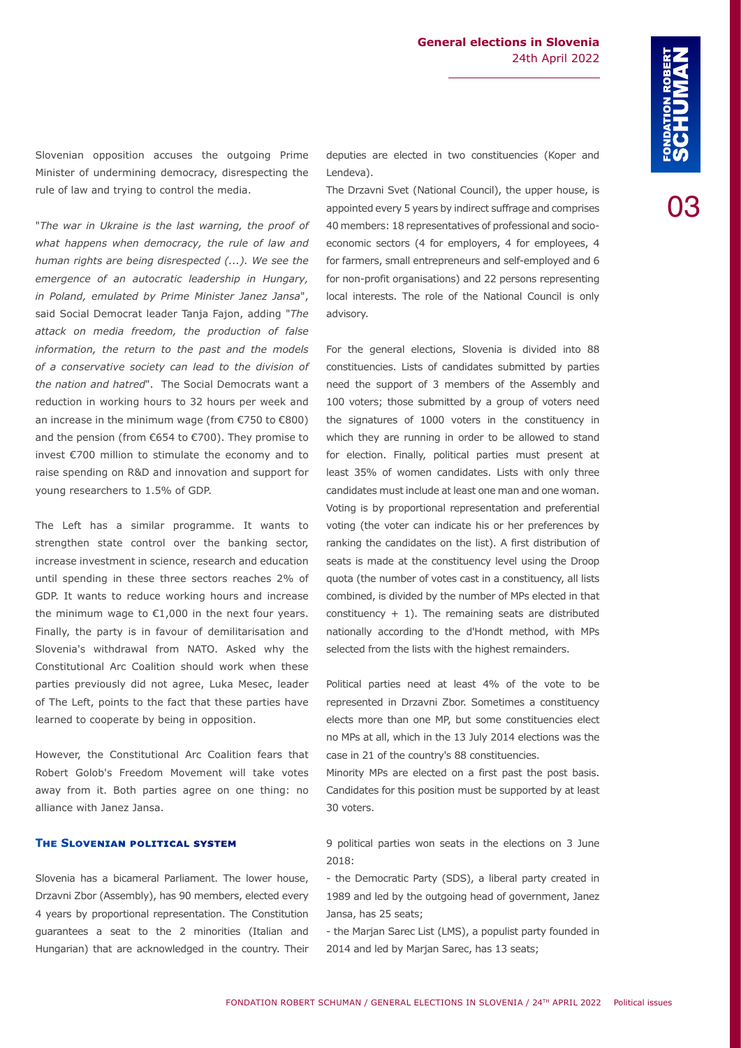03

Slovenian opposition accuses the outgoing Prime Minister of undermining democracy, disrespecting the rule of law and trying to control the media.

"*The war in Ukraine is the last warning, the proof of what happens when democracy, the rule of law and human rights are being disrespected (...). We see the emergence of an autocratic leadership in Hungary, in Poland, emulated by Prime Minister Janez Jansa*", said Social Democrat leader Tanja Fajon, adding "*The attack on media freedom, the production of false information, the return to the past and the models of a conservative society can lead to the division of the nation and hatred*". The Social Democrats want a reduction in working hours to 32 hours per week and an increase in the minimum wage (from €750 to €800) and the pension (from €654 to €700). They promise to invest €700 million to stimulate the economy and to raise spending on R&D and innovation and support for young researchers to 1.5% of GDP.

The Left has a similar programme. It wants to strengthen state control over the banking sector, increase investment in science, research and education until spending in these three sectors reaches 2% of GDP. It wants to reduce working hours and increase the minimum wage to €1,000 in the next four years. Finally, the party is in favour of demilitarisation and Slovenia's withdrawal from NATO. Asked why the Constitutional Arc Coalition should work when these parties previously did not agree, Luka Mesec, leader of The Left, points to the fact that these parties have learned to cooperate by being in opposition.

However, the Constitutional Arc Coalition fears that Robert Golob's Freedom Movement will take votes away from it. Both parties agree on one thing: no alliance with Janez Jansa.

#### **The Slovenian political system**

Slovenia has a bicameral Parliament. The lower house, Drzavni Zbor (Assembly), has 90 members, elected every 4 years by proportional representation. The Constitution guarantees a seat to the 2 minorities (Italian and Hungarian) that are acknowledged in the country. Their deputies are elected in two constituencies (Koper and Lendeva).

The Drzavni Svet (National Council), the upper house, is appointed every 5 years by indirect suffrage and comprises 40 members: 18 representatives of professional and socioeconomic sectors (4 for employers, 4 for employees, 4 for farmers, small entrepreneurs and self-employed and 6 for non-profit organisations) and 22 persons representing local interests. The role of the National Council is only advisory.

For the general elections, Slovenia is divided into 88 constituencies. Lists of candidates submitted by parties need the support of 3 members of the Assembly and 100 voters; those submitted by a group of voters need the signatures of 1000 voters in the constituency in which they are running in order to be allowed to stand for election. Finally, political parties must present at least 35% of women candidates. Lists with only three candidates must include at least one man and one woman. Voting is by proportional representation and preferential voting (the voter can indicate his or her preferences by ranking the candidates on the list). A first distribution of seats is made at the constituency level using the Droop quota (the number of votes cast in a constituency, all lists combined, is divided by the number of MPs elected in that constituency  $+1$ ). The remaining seats are distributed nationally according to the d'Hondt method, with MPs selected from the lists with the highest remainders.

Political parties need at least 4% of the vote to be represented in Drzavni Zbor. Sometimes a constituency elects more than one MP, but some constituencies elect no MPs at all, which in the 13 July 2014 elections was the case in 21 of the country's 88 constituencies.

Minority MPs are elected on a first past the post basis. Candidates for this position must be supported by at least 30 voters.

9 political parties won seats in the elections on 3 June 2018:

- the Democratic Party (SDS), a liberal party created in 1989 and led by the outgoing head of government, Janez Jansa, has 25 seats;

- the Marjan Sarec List (LMS), a populist party founded in 2014 and led by Marjan Sarec, has 13 seats;